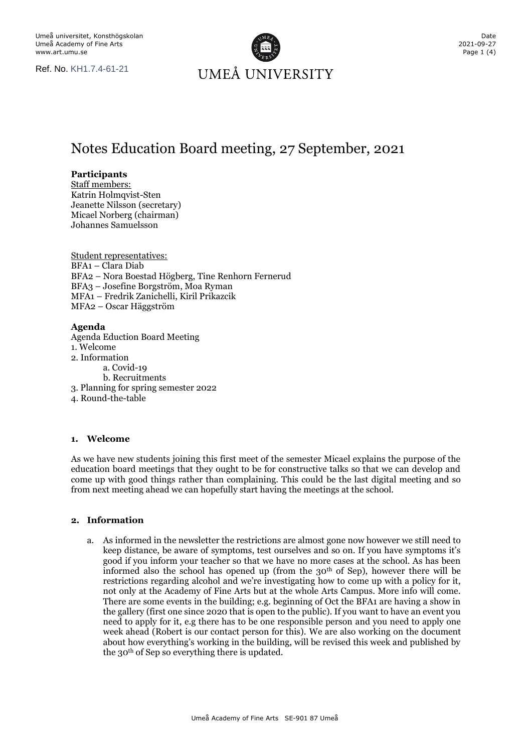

# Notes Education Board meeting, 27 September, 2021

## **Participants**

Staff members: Katrin Holmqvist-Sten Jeanette Nilsson (secretary) Micael Norberg (chairman) Johannes Samuelsson

Student representatives: BFA1 – Clara Diab BFA2 – Nora Boestad Högberg, Tine Renhorn Fernerud BFA3 – Josefine Borgström, Moa Ryman MFA1 – Fredrik Zanichelli, Kiril Prikazcik MFA2 – Oscar Häggström

## **Agenda**

Agenda Eduction Board Meeting 1. Welcome 2. Information a. Covid-19 b. Recruitments 3. Planning for spring semester 2022 4. Round-the-table

## **1. Welcome**

As we have new students joining this first meet of the semester Micael explains the purpose of the education board meetings that they ought to be for constructive talks so that we can develop and come up with good things rather than complaining. This could be the last digital meeting and so from next meeting ahead we can hopefully start having the meetings at the school.

## **2. Information**

a. As informed in the newsletter the restrictions are almost gone now however we still need to keep distance, be aware of symptoms, test ourselves and so on. If you have symptoms it's good if you inform your teacher so that we have no more cases at the school. As has been informed also the school has opened up (from the  $30<sup>th</sup>$  of Sep), however there will be restrictions regarding alcohol and we're investigating how to come up with a policy for it, not only at the Academy of Fine Arts but at the whole Arts Campus. More info will come. There are some events in the building; e.g. beginning of Oct the BFA1 are having a show in the gallery (first one since 2020 that is open to the public). If you want to have an event you need to apply for it, e.g there has to be one responsible person and you need to apply one week ahead (Robert is our contact person for this). We are also working on the document about how everything's working in the building, will be revised this week and published by the 30th of Sep so everything there is updated.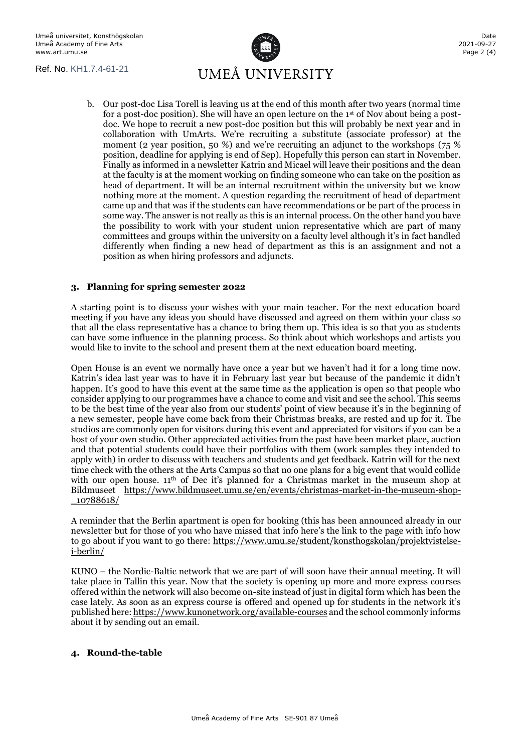

b. Our post-doc Lisa Torell is leaving us at the end of this month after two years (normal time for a post-doc position). She will have an open lecture on the  $1<sup>st</sup>$  of Nov about being a postdoc. We hope to recruit a new post-doc position but this will probably be next year and in collaboration with UmArts. We're recruiting a substitute (associate professor) at the moment (2 year position, 50 %) and we're recruiting an adjunct to the workshops (75 % position, deadline for applying is end of Sep). Hopefully this person can start in November. Finally as informed in a newsletter Katrin and Micael will leave their positions and the dean at the faculty is at the moment working on finding someone who can take on the position as head of department. It will be an internal recruitment within the university but we know nothing more at the moment. A question regarding the recruitment of head of department came up and that was if the students can have recommendations or be part of the process in some way. The answer is not really as this is an internal process. On the other hand you have the possibility to work with your student union representative which are part of many committees and groups within the university on a faculty level although it's in fact handled differently when finding a new head of department as this is an assignment and not a position as when hiring professors and adjuncts.

## **3. Planning for spring semester 2022**

A starting point is to discuss your wishes with your main teacher. For the next education board meeting if you have any ideas you should have discussed and agreed on them within your class so that all the class representative has a chance to bring them up. This idea is so that you as students can have some influence in the planning process. So think about which workshops and artists you would like to invite to the school and present them at the next education board meeting.

Open House is an event we normally have once a year but we haven't had it for a long time now. Katrin's idea last year was to have it in February last year but because of the pandemic it didn't happen. It's good to have this event at the same time as the application is open so that people who consider applying to our programmes have a chance to come and visit and see the school. This seems to be the best time of the year also from our students' point of view because it's in the beginning of a new semester, people have come back from their Christmas breaks, are rested and up for it. The studios are commonly open for visitors during this event and appreciated for visitors if you can be a host of your own studio. Other appreciated activities from the past have been market place, auction and that potential students could have their portfolios with them (work samples they intended to apply with) in order to discuss with teachers and students and get feedback. Katrin will for the next time check with the others at the Arts Campus so that no one plans for a big event that would collide with our open house.  $11<sup>th</sup>$  of Dec it's planned for a Christmas market in the museum shop at Bildmuseet [https://www.bildmuseet.umu.se/en/events/christmas-market-in-the-museum-shop-](https://www.bildmuseet.umu.se/en/events/christmas-market-in-the-museum-shop-_10788618/) [\\_10788618/](https://www.bildmuseet.umu.se/en/events/christmas-market-in-the-museum-shop-_10788618/)

A reminder that the Berlin apartment is open for booking (this has been announced already in our newsletter but for those of you who have missed that info here's the link to the page with info how to go about if you want to go there: [https://www.umu.se/student/konsthogskolan/projektvistelse](https://www.umu.se/student/konsthogskolan/projektvistelse-i-berlin/)[i-berlin/](https://www.umu.se/student/konsthogskolan/projektvistelse-i-berlin/)

KUNO – the Nordic-Baltic network that we are part of will soon have their annual meeting. It will take place in Tallin this year. Now that the society is opening up more and more express courses offered within the network will also become on-site instead of just in digital form which has been the case lately. As soon as an express course is offered and opened up for students in the network it's published here[: https://www.kunonetwork.org/available-courses](https://www.kunonetwork.org/available-courses) and the school commonly informs about it by sending out an email.

## **4. Round-the-table**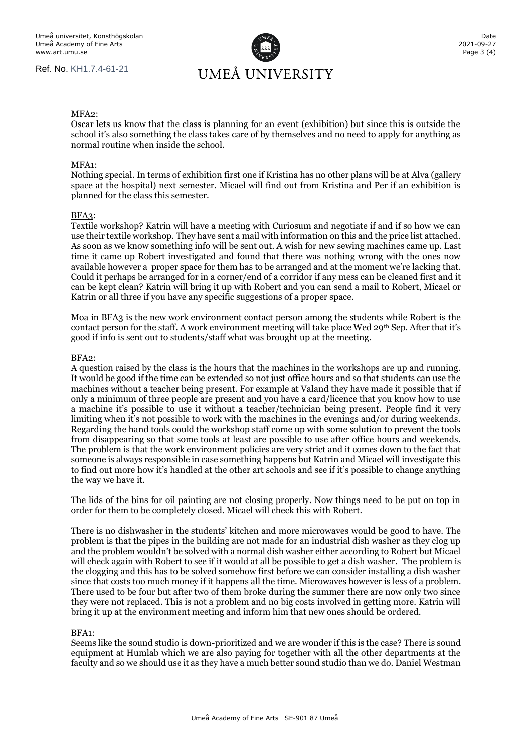

#### MFA2:

Oscar lets us know that the class is planning for an event (exhibition) but since this is outside the school it's also something the class takes care of by themselves and no need to apply for anything as normal routine when inside the school.

#### MFA1:

Nothing special. In terms of exhibition first one if Kristina has no other plans will be at Alva (gallery space at the hospital) next semester. Micael will find out from Kristina and Per if an exhibition is planned for the class this semester.

#### BFA3:

Textile workshop? Katrin will have a meeting with Curiosum and negotiate if and if so how we can use their textile workshop. They have sent a mail with information on this and the price list attached. As soon as we know something info will be sent out. A wish for new sewing machines came up. Last time it came up Robert investigated and found that there was nothing wrong with the ones now available however a proper space for them has to be arranged and at the moment we're lacking that. Could it perhaps be arranged for in a corner/end of a corridor if any mess can be cleaned first and it can be kept clean? Katrin will bring it up with Robert and you can send a mail to Robert, Micael or Katrin or all three if you have any specific suggestions of a proper space.

Moa in BFA3 is the new work environment contact person among the students while Robert is the contact person for the staff. A work environment meeting will take place Wed 29th Sep. After that it's good if info is sent out to students/staff what was brought up at the meeting.

#### BFA2:

A question raised by the class is the hours that the machines in the workshops are up and running. It would be good if the time can be extended so not just office hours and so that students can use the machines without a teacher being present. For example at Valand they have made it possible that if only a minimum of three people are present and you have a card/licence that you know how to use a machine it's possible to use it without a teacher/technician being present. People find it very limiting when it's not possible to work with the machines in the evenings and/or during weekends. Regarding the hand tools could the workshop staff come up with some solution to prevent the tools from disappearing so that some tools at least are possible to use after office hours and weekends. The problem is that the work environment policies are very strict and it comes down to the fact that someone is always responsible in case something happens but Katrin and Micael will investigate this to find out more how it's handled at the other art schools and see if it's possible to change anything the way we have it.

The lids of the bins for oil painting are not closing properly. Now things need to be put on top in order for them to be completely closed. Micael will check this with Robert.

There is no dishwasher in the students' kitchen and more microwaves would be good to have. The problem is that the pipes in the building are not made for an industrial dish washer as they clog up and the problem wouldn't be solved with a normal dish washer either according to Robert but Micael will check again with Robert to see if it would at all be possible to get a dish washer. The problem is the clogging and this has to be solved somehow first before we can consider installing a dish washer since that costs too much money if it happens all the time. Microwaves however is less of a problem. There used to be four but after two of them broke during the summer there are now only two since they were not replaced. This is not a problem and no big costs involved in getting more. Katrin will bring it up at the environment meeting and inform him that new ones should be ordered.

#### BFA1:

Seems like the sound studio is down-prioritized and we are wonder if this is the case? There is sound equipment at Humlab which we are also paying for together with all the other departments at the faculty and so we should use it as they have a much better sound studio than we do. Daniel Westman